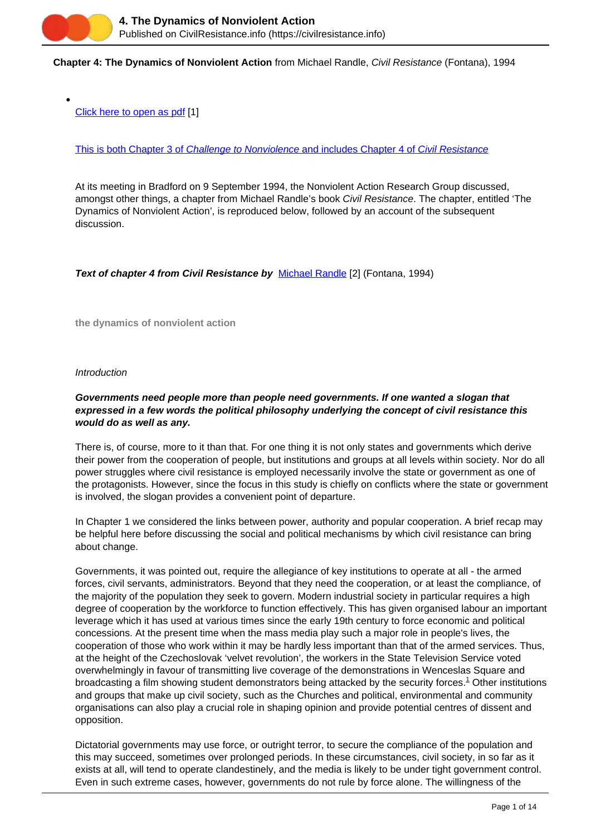

**Chapter 4: The Dynamics of Nonviolent Action** from Michael Randle, Civil Resistance (Fontana), 1994

[Click here to open as pdf](https://civilresistance.info/sites/default/files/3-Dynamics.pdf) [1]

This is both Chapter 3 of Challenge to Nonviolence and includes Chapter 4 of Civil Resistance

At its meeting in Bradford on 9 September 1994, the Nonviolent Action Research Group discussed, amongst other things, a chapter from Michael Randle's book Civil Resistance. The chapter, entitled 'The Dynamics of Nonviolent Action', is reproduced below, followed by an account of the subsequent discussion.

**Text of chapter 4 from Civil Resistance by** [Michael Randle](https://civilresistance.info/challenge/preface#Michael) [2] (Fontana, 1994)

**the dynamics of nonviolent action**

#### **Introduction**

## **Governments need people more than people need governments. If one wanted a slogan that expressed in a few words the political philosophy underlying the concept of civil resistance this would do as well as any.**

There is, of course, more to it than that. For one thing it is not only states and governments which derive their power from the cooperation of people, but institutions and groups at all levels within society. Nor do all power struggles where civil resistance is employed necessarily involve the state or government as one of the protagonists. However, since the focus in this study is chiefly on conflicts where the state or government is involved, the slogan provides a convenient point of departure.

In Chapter 1 we considered the links between power, authority and popular cooperation. A brief recap may be helpful here before discussing the social and political mechanisms by which civil resistance can bring about change.

Governments, it was pointed out, require the allegiance of key institutions to operate at all - the armed forces, civil servants, administrators. Beyond that they need the cooperation, or at least the compliance, of the majority of the population they seek to govern. Modern industrial society in particular requires a high degree of cooperation by the workforce to function effectively. This has given organised labour an important leverage which it has used at various times since the early 19th century to force economic and political concessions. At the present time when the mass media play such a major role in people's lives, the cooperation of those who work within it may be hardly less important than that of the armed services. Thus, at the height of the Czechoslovak 'velvet revolution', the workers in the State Television Service voted overwhelmingly in favour of transmitting live coverage of the demonstrations in Wenceslas Square and broadcasting a film showing student demonstrators being attacked by the security forces.<sup>[1](https://civilresistance.info/randle1994/Ch-4#ftn.id1)</sup> Other institutions and groups that make up civil society, such as the Churches and political, environmental and community organisations can also play a crucial role in shaping opinion and provide potential centres of dissent and opposition.

Dictatorial governments may use force, or outright terror, to secure the compliance of the population and this may succeed, sometimes over prolonged periods. In these circumstances, civil society, in so far as it exists at all, will tend to operate clandestinely, and the media is likely to be under tight government control. Even in such extreme cases, however, governments do not rule by force alone. The willingness of the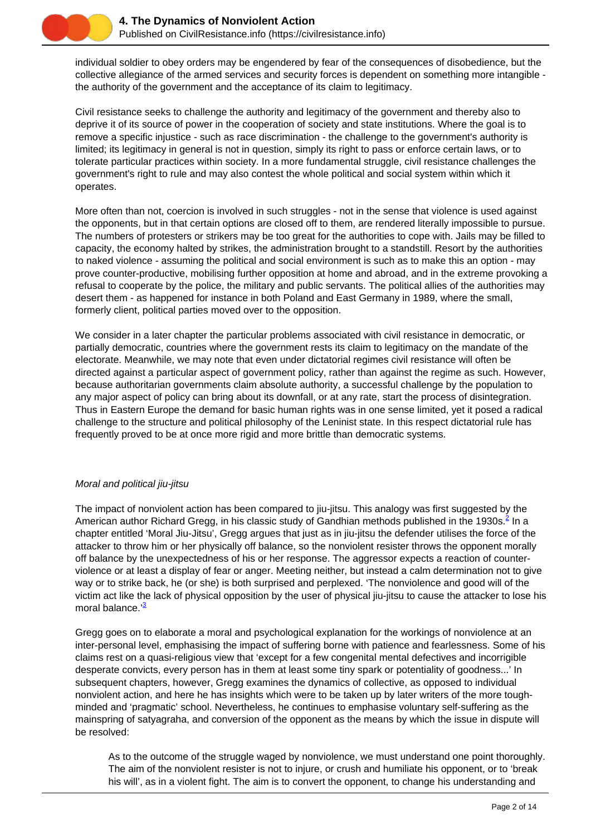

individual soldier to obey orders may be engendered by fear of the consequences of disobedience, but the collective allegiance of the armed services and security forces is dependent on something more intangible the authority of the government and the acceptance of its claim to legitimacy.

Civil resistance seeks to challenge the authority and legitimacy of the government and thereby also to deprive it of its source of power in the cooperation of society and state institutions. Where the goal is to remove a specific injustice - such as race discrimination - the challenge to the government's authority is limited; its legitimacy in general is not in question, simply its right to pass or enforce certain laws, or to tolerate particular practices within society. In a more fundamental struggle, civil resistance challenges the government's right to rule and may also contest the whole political and social system within which it operates.

More often than not, coercion is involved in such struggles - not in the sense that violence is used against the opponents, but in that certain options are closed off to them, are rendered literally impossible to pursue. The numbers of protesters or strikers may be too great for the authorities to cope with. Jails may be filled to capacity, the economy halted by strikes, the administration brought to a standstill. Resort by the authorities to naked violence - assuming the political and social environment is such as to make this an option - may prove counter-productive, mobilising further opposition at home and abroad, and in the extreme provoking a refusal to cooperate by the police, the military and public servants. The political allies of the authorities may desert them - as happened for instance in both Poland and East Germany in 1989, where the small, formerly client, political parties moved over to the opposition.

We consider in a later chapter the particular problems associated with civil resistance in democratic, or partially democratic, countries where the government rests its claim to legitimacy on the mandate of the electorate. Meanwhile, we may note that even under dictatorial regimes civil resistance will often be directed against a particular aspect of government policy, rather than against the regime as such. However, because authoritarian governments claim absolute authority, a successful challenge by the population to any major aspect of policy can bring about its downfall, or at any rate, start the process of disintegration. Thus in Eastern Europe the demand for basic human rights was in one sense limited, yet it posed a radical challenge to the structure and political philosophy of the Leninist state. In this respect dictatorial rule has frequently proved to be at once more rigid and more brittle than democratic systems.

## Moral and political jiu-jitsu

The impact of nonviolent action has been compared to jiu-jitsu. This analogy was first suggested by the American author Richard Gregg, in his classic study of Gandhian methods published in the 1930s.<sup>[2](https://civilresistance.info/randle1994/Ch-4#ftn.id2)</sup> In a chapter entitled 'Moral Jiu-Jitsu', Gregg argues that just as in jiu-jitsu the defender utilises the force of the attacker to throw him or her physically off balance, so the nonviolent resister throws the opponent morally off balance by the unexpectedness of his or her response. The aggressor expects a reaction of counterviolence or at least a display of fear or anger. Meeting neither, but instead a calm determination not to give way or to strike back, he (or she) is both surprised and perplexed. 'The nonviolence and good will of the victim act like the lack of physical opposition by the user of physical jiu-jitsu to cause the attacker to lose his moral balance. $3<sup>3</sup>$  $3<sup>3</sup>$ 

Gregg goes on to elaborate a moral and psychological explanation for the workings of nonviolence at an inter-personal level, emphasising the impact of suffering borne with patience and fearlessness. Some of his claims rest on a quasi-religious view that 'except for a few congenital mental defectives and incorrigible desperate convicts, every person has in them at least some tiny spark or potentiality of goodness...' In subsequent chapters, however, Gregg examines the dynamics of collective, as opposed to individual nonviolent action, and here he has insights which were to be taken up by later writers of the more toughminded and 'pragmatic' school. Nevertheless, he continues to emphasise voluntary self-suffering as the mainspring of satyagraha, and conversion of the opponent as the means by which the issue in dispute will be resolved:

As to the outcome of the struggle waged by nonviolence, we must understand one point thoroughly. The aim of the nonviolent resister is not to injure, or crush and humiliate his opponent, or to 'break his will', as in a violent fight. The aim is to convert the opponent, to change his understanding and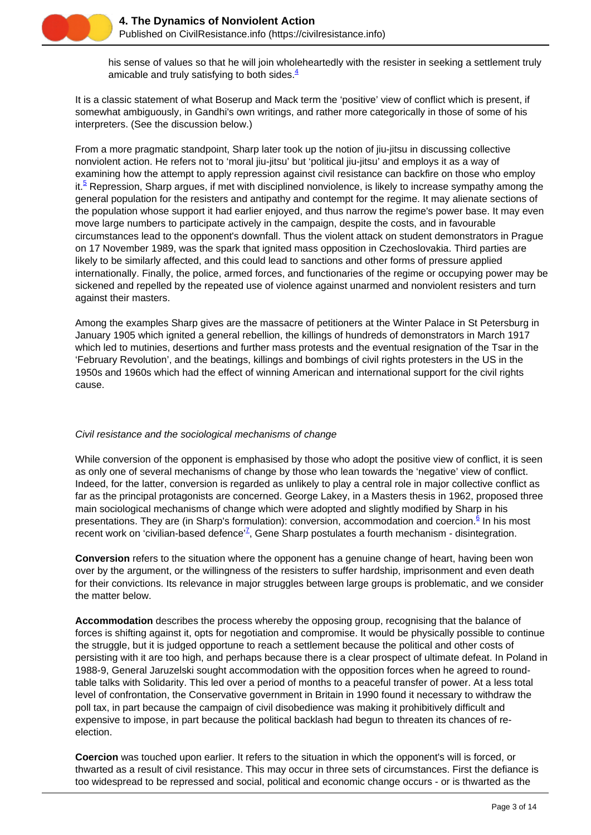

his sense of values so that he will join wholeheartedly with the resister in seeking a settlement truly amicable and truly satisfying to both sides. $\frac{4}{3}$  $\frac{4}{3}$  $\frac{4}{3}$ 

It is a classic statement of what Boserup and Mack term the 'positive' view of conflict which is present, if somewhat ambiguously, in Gandhi's own writings, and rather more categorically in those of some of his interpreters. (See the discussion below.)

From a more pragmatic standpoint, Sharp later took up the notion of jiu-jitsu in discussing collective nonviolent action. He refers not to 'moral jiu-jitsu' but 'political jiu-jitsu' and employs it as a way of examining how the attempt to apply repression against civil resistance can backfire on those who employ it.<sup>[5](https://civilresistance.info/randle1994/Ch-4#ftn.id5)</sup> Repression, Sharp argues, if met with disciplined nonviolence, is likely to increase sympathy among the general population for the resisters and antipathy and contempt for the regime. It may alienate sections of the population whose support it had earlier enjoyed, and thus narrow the regime's power base. It may even move large numbers to participate actively in the campaign, despite the costs, and in favourable circumstances lead to the opponent's downfall. Thus the violent attack on student demonstrators in Prague on 17 November 1989, was the spark that ignited mass opposition in Czechoslovakia. Third parties are likely to be similarly affected, and this could lead to sanctions and other forms of pressure applied internationally. Finally, the police, armed forces, and functionaries of the regime or occupying power may be sickened and repelled by the repeated use of violence against unarmed and nonviolent resisters and turn against their masters.

Among the examples Sharp gives are the massacre of petitioners at the Winter Palace in St Petersburg in January 1905 which ignited a general rebellion, the killings of hundreds of demonstrators in March 1917 which led to mutinies, desertions and further mass protests and the eventual resignation of the Tsar in the 'February Revolution', and the beatings, killings and bombings of civil rights protesters in the US in the 1950s and 1960s which had the effect of winning American and international support for the civil rights cause.

## Civil resistance and the sociological mechanisms of change

While conversion of the opponent is emphasised by those who adopt the positive view of conflict, it is seen as only one of several mechanisms of change by those who lean towards the 'negative' view of conflict. Indeed, for the latter, conversion is regarded as unlikely to play a central role in major collective conflict as far as the principal protagonists are concerned. George Lakey, in a Masters thesis in 1962, proposed three main sociological mechanisms of change which were adopted and slightly modified by Sharp in his presentations. They are (in Sharp's formulation): conversion, accommodation and coercion.<sup>[6](https://civilresistance.info/randle1994/Ch-4#ftn.id6)</sup> In his most recent work on 'civilian-based defence'<sup>Z</sup>, Gene Sharp postulates a fourth mechanism - disintegration.

**Conversion** refers to the situation where the opponent has a genuine change of heart, having been won over by the argument, or the willingness of the resisters to suffer hardship, imprisonment and even death for their convictions. Its relevance in major struggles between large groups is problematic, and we consider the matter below.

**Accommodation** describes the process whereby the opposing group, recognising that the balance of forces is shifting against it, opts for negotiation and compromise. It would be physically possible to continue the struggle, but it is judged opportune to reach a settlement because the political and other costs of persisting with it are too high, and perhaps because there is a clear prospect of ultimate defeat. In Poland in 1988-9, General Jaruzelski sought accommodation with the opposition forces when he agreed to roundtable talks with Solidarity. This led over a period of months to a peaceful transfer of power. At a less total level of confrontation, the Conservative government in Britain in 1990 found it necessary to withdraw the poll tax, in part because the campaign of civil disobedience was making it prohibitively difficult and expensive to impose, in part because the political backlash had begun to threaten its chances of reelection.

**Coercion** was touched upon earlier. It refers to the situation in which the opponent's will is forced, or thwarted as a result of civil resistance. This may occur in three sets of circumstances. First the defiance is too widespread to be repressed and social, political and economic change occurs - or is thwarted as the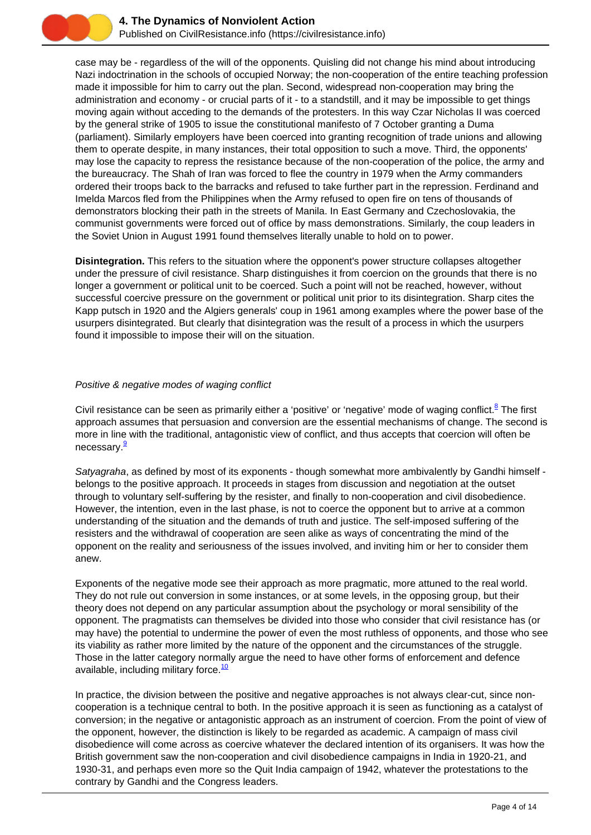

case may be - regardless of the will of the opponents. Quisling did not change his mind about introducing Nazi indoctrination in the schools of occupied Norway; the non-cooperation of the entire teaching profession made it impossible for him to carry out the plan. Second, widespread non-cooperation may bring the administration and economy - or crucial parts of it - to a standstill, and it may be impossible to get things moving again without acceding to the demands of the protesters. In this way Czar Nicholas II was coerced by the general strike of 1905 to issue the constitutional manifesto of 7 October granting a Duma (parliament). Similarly employers have been coerced into granting recognition of trade unions and allowing them to operate despite, in many instances, their total opposition to such a move. Third, the opponents' may lose the capacity to repress the resistance because of the non-cooperation of the police, the army and the bureaucracy. The Shah of Iran was forced to flee the country in 1979 when the Army commanders ordered their troops back to the barracks and refused to take further part in the repression. Ferdinand and Imelda Marcos fled from the Philippines when the Army refused to open fire on tens of thousands of demonstrators blocking their path in the streets of Manila. In East Germany and Czechoslovakia, the communist governments were forced out of office by mass demonstrations. Similarly, the coup leaders in the Soviet Union in August 1991 found themselves literally unable to hold on to power.

**Disintegration.** This refers to the situation where the opponent's power structure collapses altogether under the pressure of civil resistance. Sharp distinguishes it from coercion on the grounds that there is no longer a government or political unit to be coerced. Such a point will not be reached, however, without successful coercive pressure on the government or political unit prior to its disintegration. Sharp cites the Kapp putsch in 1920 and the Algiers generals' coup in 1961 among examples where the power base of the usurpers disintegrated. But clearly that disintegration was the result of a process in which the usurpers found it impossible to impose their will on the situation.

# Positive & negative modes of waging conflict

Civil resistance can be seen as primarily either a 'positive' or 'negative' mode of waging conflict.<sup>[8](https://civilresistance.info/randle1994/Ch-4#ftn.id8)</sup> The first approach assumes that persuasion and conversion are the essential mechanisms of change. The second is more in line with the traditional, antagonistic view of conflict, and thus accepts that coercion will often be necessary.<sup>[9](https://civilresistance.info/randle1994/Ch-4#ftn.id9)</sup>

Satyagraha, as defined by most of its exponents - though somewhat more ambivalently by Gandhi himself belongs to the positive approach. It proceeds in stages from discussion and negotiation at the outset through to voluntary self-suffering by the resister, and finally to non-cooperation and civil disobedience. However, the intention, even in the last phase, is not to coerce the opponent but to arrive at a common understanding of the situation and the demands of truth and justice. The self-imposed suffering of the resisters and the withdrawal of cooperation are seen alike as ways of concentrating the mind of the opponent on the reality and seriousness of the issues involved, and inviting him or her to consider them anew.

Exponents of the negative mode see their approach as more pragmatic, more attuned to the real world. They do not rule out conversion in some instances, or at some levels, in the opposing group, but their theory does not depend on any particular assumption about the psychology or moral sensibility of the opponent. The pragmatists can themselves be divided into those who consider that civil resistance has (or may have) the potential to undermine the power of even the most ruthless of opponents, and those who see its viability as rather more limited by the nature of the opponent and the circumstances of the struggle. Those in the latter category normally argue the need to have other forms of enforcement and defence available, including military force.<sup>[10](https://civilresistance.info/randle1994/Ch-4#ftn.id10)</sup>

In practice, the division between the positive and negative approaches is not always clear-cut, since noncooperation is a technique central to both. In the positive approach it is seen as functioning as a catalyst of conversion; in the negative or antagonistic approach as an instrument of coercion. From the point of view of the opponent, however, the distinction is likely to be regarded as academic. A campaign of mass civil disobedience will come across as coercive whatever the declared intention of its organisers. It was how the British government saw the non-cooperation and civil disobedience campaigns in India in 1920-21, and 1930-31, and perhaps even more so the Quit India campaign of 1942, whatever the protestations to the contrary by Gandhi and the Congress leaders.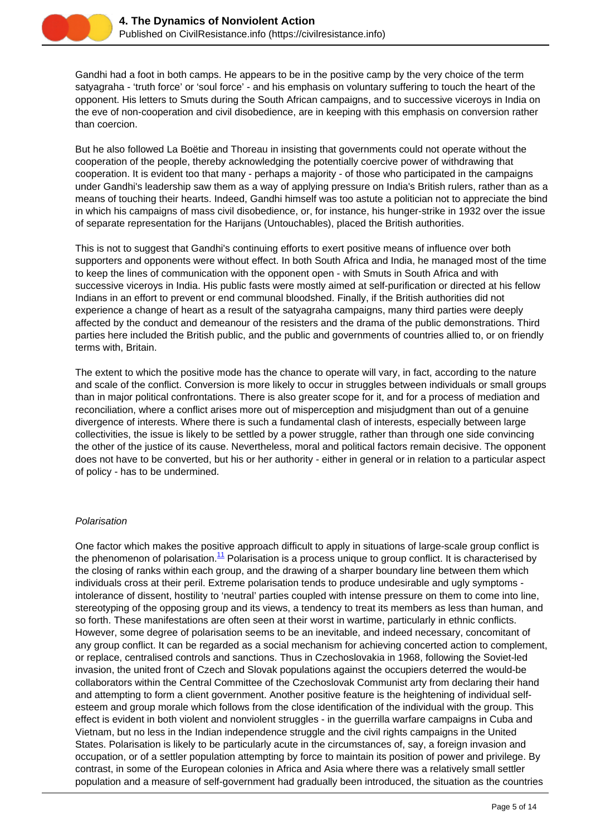

Gandhi had a foot in both camps. He appears to be in the positive camp by the very choice of the term satyagraha - 'truth force' or 'soul force' - and his emphasis on voluntary suffering to touch the heart of the opponent. His letters to Smuts during the South African campaigns, and to successive viceroys in India on the eve of non-cooperation and civil disobedience, are in keeping with this emphasis on conversion rather than coercion.

But he also followed La Boëtie and Thoreau in insisting that governments could not operate without the cooperation of the people, thereby acknowledging the potentially coercive power of withdrawing that cooperation. It is evident too that many - perhaps a majority - of those who participated in the campaigns under Gandhi's leadership saw them as a way of applying pressure on India's British rulers, rather than as a means of touching their hearts. Indeed, Gandhi himself was too astute a politician not to appreciate the bind in which his campaigns of mass civil disobedience, or, for instance, his hunger-strike in 1932 over the issue of separate representation for the Harijans (Untouchables), placed the British authorities.

This is not to suggest that Gandhi's continuing efforts to exert positive means of influence over both supporters and opponents were without effect. In both South Africa and India, he managed most of the time to keep the lines of communication with the opponent open - with Smuts in South Africa and with successive viceroys in India. His public fasts were mostly aimed at self-purification or directed at his fellow Indians in an effort to prevent or end communal bloodshed. Finally, if the British authorities did not experience a change of heart as a result of the satyagraha campaigns, many third parties were deeply affected by the conduct and demeanour of the resisters and the drama of the public demonstrations. Third parties here included the British public, and the public and governments of countries allied to, or on friendly terms with, Britain.

The extent to which the positive mode has the chance to operate will vary, in fact, according to the nature and scale of the conflict. Conversion is more likely to occur in struggles between individuals or small groups than in major political confrontations. There is also greater scope for it, and for a process of mediation and reconciliation, where a conflict arises more out of misperception and misjudgment than out of a genuine divergence of interests. Where there is such a fundamental clash of interests, especially between large collectivities, the issue is likely to be settled by a power struggle, rather than through one side convincing the other of the justice of its cause. Nevertheless, moral and political factors remain decisive. The opponent does not have to be converted, but his or her authority - either in general or in relation to a particular aspect of policy - has to be undermined.

#### Polarisation

One factor which makes the positive approach difficult to apply in situations of large-scale group conflict is the phenomenon of polarisation. $11$  Polarisation is a process unique to group conflict. It is characterised by the closing of ranks within each group, and the drawing of a sharper boundary line between them which individuals cross at their peril. Extreme polarisation tends to produce undesirable and ugly symptoms intolerance of dissent, hostility to 'neutral' parties coupled with intense pressure on them to come into line, stereotyping of the opposing group and its views, a tendency to treat its members as less than human, and so forth. These manifestations are often seen at their worst in wartime, particularly in ethnic conflicts. However, some degree of polarisation seems to be an inevitable, and indeed necessary, concomitant of any group conflict. It can be regarded as a social mechanism for achieving concerted action to complement, or replace, centralised controls and sanctions. Thus in Czechoslovakia in 1968, following the Soviet-led invasion, the united front of Czech and Slovak populations against the occupiers deterred the would-be collaborators within the Central Committee of the Czechoslovak Communist arty from declaring their hand and attempting to form a client government. Another positive feature is the heightening of individual selfesteem and group morale which follows from the close identification of the individual with the group. This effect is evident in both violent and nonviolent struggles - in the guerrilla warfare campaigns in Cuba and Vietnam, but no less in the Indian independence struggle and the civil rights campaigns in the United States. Polarisation is likely to be particularly acute in the circumstances of, say, a foreign invasion and occupation, or of a settler population attempting by force to maintain its position of power and privilege. By contrast, in some of the European colonies in Africa and Asia where there was a relatively small settler population and a measure of self-government had gradually been introduced, the situation as the countries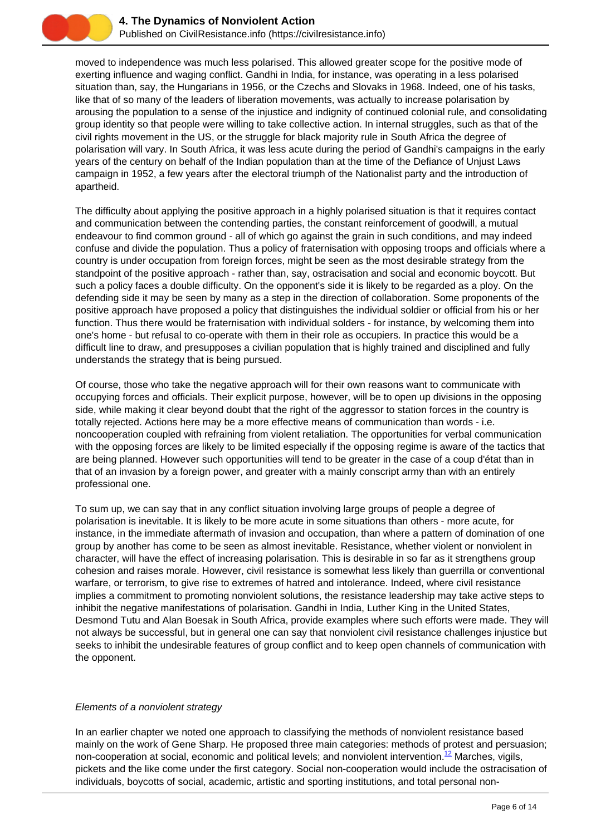

moved to independence was much less polarised. This allowed greater scope for the positive mode of exerting influence and waging conflict. Gandhi in India, for instance, was operating in a less polarised situation than, say, the Hungarians in 1956, or the Czechs and Slovaks in 1968. Indeed, one of his tasks, like that of so many of the leaders of liberation movements, was actually to increase polarisation by arousing the population to a sense of the injustice and indignity of continued colonial rule, and consolidating group identity so that people were willing to take collective action. In internal struggles, such as that of the civil rights movement in the US, or the struggle for black majority rule in South Africa the degree of polarisation will vary. In South Africa, it was less acute during the period of Gandhi's campaigns in the early years of the century on behalf of the Indian population than at the time of the Defiance of Unjust Laws campaign in 1952, a few years after the electoral triumph of the Nationalist party and the introduction of apartheid.

The difficulty about applying the positive approach in a highly polarised situation is that it requires contact and communication between the contending parties, the constant reinforcement of goodwill, a mutual endeavour to find common ground - all of which go against the grain in such conditions, and may indeed confuse and divide the population. Thus a policy of fraternisation with opposing troops and officials where a country is under occupation from foreign forces, might be seen as the most desirable strategy from the standpoint of the positive approach - rather than, say, ostracisation and social and economic boycott. But such a policy faces a double difficulty. On the opponent's side it is likely to be regarded as a ploy. On the defending side it may be seen by many as a step in the direction of collaboration. Some proponents of the positive approach have proposed a policy that distinguishes the individual soldier or official from his or her function. Thus there would be fraternisation with individual solders - for instance, by welcoming them into one's home - but refusal to co-operate with them in their role as occupiers. In practice this would be a difficult line to draw, and presupposes a civilian population that is highly trained and disciplined and fully understands the strategy that is being pursued.

Of course, those who take the negative approach will for their own reasons want to communicate with occupying forces and officials. Their explicit purpose, however, will be to open up divisions in the opposing side, while making it clear beyond doubt that the right of the aggressor to station forces in the country is totally rejected. Actions here may be a more effective means of communication than words - i.e. noncooperation coupled with refraining from violent retaliation. The opportunities for verbal communication with the opposing forces are likely to be limited especially if the opposing regime is aware of the tactics that are being planned. However such opportunities will tend to be greater in the case of a coup d'état than in that of an invasion by a foreign power, and greater with a mainly conscript army than with an entirely professional one.

To sum up, we can say that in any conflict situation involving large groups of people a degree of polarisation is inevitable. It is likely to be more acute in some situations than others - more acute, for instance, in the immediate aftermath of invasion and occupation, than where a pattern of domination of one group by another has come to be seen as almost inevitable. Resistance, whether violent or nonviolent in character, will have the effect of increasing polarisation. This is desirable in so far as it strengthens group cohesion and raises morale. However, civil resistance is somewhat less likely than guerrilla or conventional warfare, or terrorism, to give rise to extremes of hatred and intolerance. Indeed, where civil resistance implies a commitment to promoting nonviolent solutions, the resistance leadership may take active steps to inhibit the negative manifestations of polarisation. Gandhi in India, Luther King in the United States, Desmond Tutu and Alan Boesak in South Africa, provide examples where such efforts were made. They will not always be successful, but in general one can say that nonviolent civil resistance challenges injustice but seeks to inhibit the undesirable features of group conflict and to keep open channels of communication with the opponent.

## Elements of a nonviolent strategy

In an earlier chapter we noted one approach to classifying the methods of nonviolent resistance based mainly on the work of Gene Sharp. He proposed three main categories: methods of protest and persuasion; non-cooperation at social, economic and political levels; and nonviolent intervention.<sup>[12](https://civilresistance.info/randle1994/Ch-4#ftn.id12)</sup> Marches, vigils, pickets and the like come under the first category. Social non-cooperation would include the ostracisation of individuals, boycotts of social, academic, artistic and sporting institutions, and total personal non-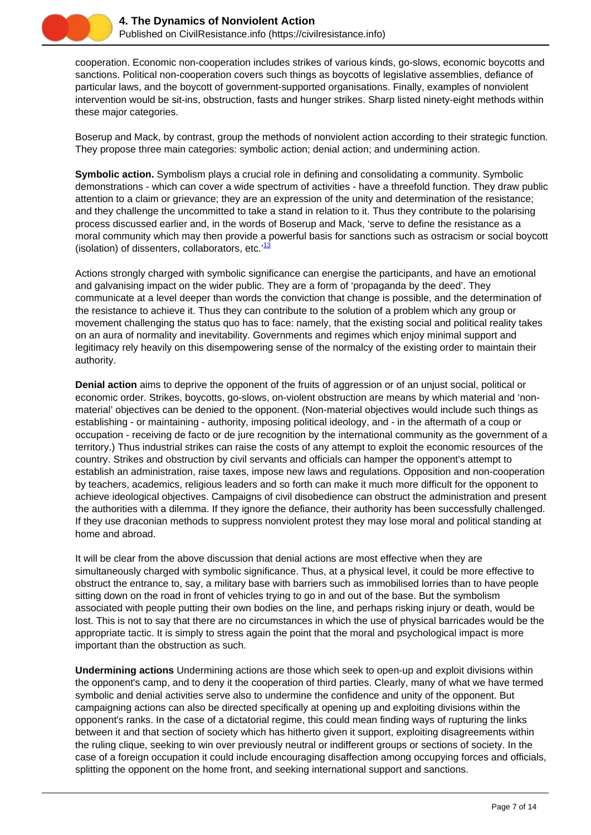

cooperation. Economic non-cooperation includes strikes of various kinds, go-slows, economic boycotts and sanctions. Political non-cooperation covers such things as boycotts of legislative assemblies, defiance of particular laws, and the boycott of government-supported organisations. Finally, examples of nonviolent intervention would be sit-ins, obstruction, fasts and hunger strikes. Sharp listed ninety-eight methods within these major categories.

Boserup and Mack, by contrast, group the methods of nonviolent action according to their strategic function. They propose three main categories: symbolic action; denial action; and undermining action.

**Symbolic action.** Symbolism plays a crucial role in defining and consolidating a community. Symbolic demonstrations - which can cover a wide spectrum of activities - have a threefold function. They draw public attention to a claim or grievance; they are an expression of the unity and determination of the resistance; and they challenge the uncommitted to take a stand in relation to it. Thus they contribute to the polarising process discussed earlier and, in the words of Boserup and Mack, 'serve to define the resistance as a moral community which may then provide a powerful basis for sanctions such as ostracism or social boycott (isolation) of dissenters, collaborators, etc. $13$ 

Actions strongly charged with symbolic significance can energise the participants, and have an emotional and galvanising impact on the wider public. They are a form of 'propaganda by the deed'. They communicate at a level deeper than words the conviction that change is possible, and the determination of the resistance to achieve it. Thus they can contribute to the solution of a problem which any group or movement challenging the status quo has to face: namely, that the existing social and political reality takes on an aura of normality and inevitability. Governments and regimes which enjoy minimal support and legitimacy rely heavily on this disempowering sense of the normalcy of the existing order to maintain their authority.

**Denial action** aims to deprive the opponent of the fruits of aggression or of an unjust social, political or economic order. Strikes, boycotts, go-slows, on-violent obstruction are means by which material and 'nonmaterial' objectives can be denied to the opponent. (Non-material objectives would include such things as establishing - or maintaining - authority, imposing political ideology, and - in the aftermath of a coup or occupation - receiving de facto or de jure recognition by the international community as the government of a territory.) Thus industrial strikes can raise the costs of any attempt to exploit the economic resources of the country. Strikes and obstruction by civil servants and officials can hamper the opponent's attempt to establish an administration, raise taxes, impose new laws and regulations. Opposition and non-cooperation by teachers, academics, religious leaders and so forth can make it much more difficult for the opponent to achieve ideological objectives. Campaigns of civil disobedience can obstruct the administration and present the authorities with a dilemma. If they ignore the defiance, their authority has been successfully challenged. If they use draconian methods to suppress nonviolent protest they may lose moral and political standing at home and abroad.

It will be clear from the above discussion that denial actions are most effective when they are simultaneously charged with symbolic significance. Thus, at a physical level, it could be more effective to obstruct the entrance to, say, a military base with barriers such as immobilised lorries than to have people sitting down on the road in front of vehicles trying to go in and out of the base. But the symbolism associated with people putting their own bodies on the line, and perhaps risking injury or death, would be lost. This is not to say that there are no circumstances in which the use of physical barricades would be the appropriate tactic. It is simply to stress again the point that the moral and psychological impact is more important than the obstruction as such.

**Undermining actions** Undermining actions are those which seek to open-up and exploit divisions within the opponent's camp, and to deny it the cooperation of third parties. Clearly, many of what we have termed symbolic and denial activities serve also to undermine the confidence and unity of the opponent. But campaigning actions can also be directed specifically at opening up and exploiting divisions within the opponent's ranks. In the case of a dictatorial regime, this could mean finding ways of rupturing the links between it and that section of society which has hitherto given it support, exploiting disagreements within the ruling clique, seeking to win over previously neutral or indifferent groups or sections of society. In the case of a foreign occupation it could include encouraging disaffection among occupying forces and officials, splitting the opponent on the home front, and seeking international support and sanctions.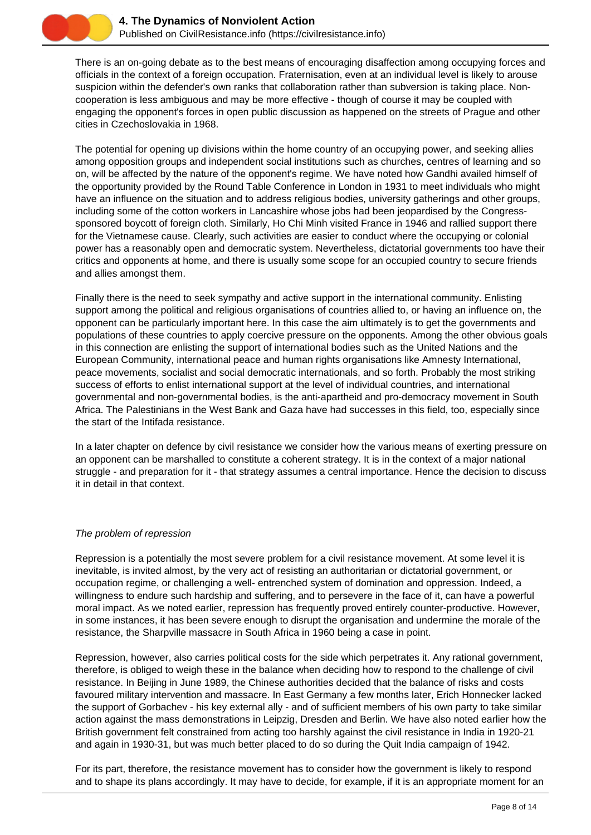

There is an on-going debate as to the best means of encouraging disaffection among occupying forces and officials in the context of a foreign occupation. Fraternisation, even at an individual level is likely to arouse suspicion within the defender's own ranks that collaboration rather than subversion is taking place. Noncooperation is less ambiguous and may be more effective - though of course it may be coupled with engaging the opponent's forces in open public discussion as happened on the streets of Prague and other cities in Czechoslovakia in 1968.

The potential for opening up divisions within the home country of an occupying power, and seeking allies among opposition groups and independent social institutions such as churches, centres of learning and so on, will be affected by the nature of the opponent's regime. We have noted how Gandhi availed himself of the opportunity provided by the Round Table Conference in London in 1931 to meet individuals who might have an influence on the situation and to address religious bodies, university gatherings and other groups, including some of the cotton workers in Lancashire whose jobs had been jeopardised by the Congresssponsored boycott of foreign cloth. Similarly, Ho Chi Minh visited France in 1946 and rallied support there for the Vietnamese cause. Clearly, such activities are easier to conduct where the occupying or colonial power has a reasonably open and democratic system. Nevertheless, dictatorial governments too have their critics and opponents at home, and there is usually some scope for an occupied country to secure friends and allies amongst them.

Finally there is the need to seek sympathy and active support in the international community. Enlisting support among the political and religious organisations of countries allied to, or having an influence on, the opponent can be particularly important here. In this case the aim ultimately is to get the governments and populations of these countries to apply coercive pressure on the opponents. Among the other obvious goals in this connection are enlisting the support of international bodies such as the United Nations and the European Community, international peace and human rights organisations like Amnesty International, peace movements, socialist and social democratic internationals, and so forth. Probably the most striking success of efforts to enlist international support at the level of individual countries, and international governmental and non-governmental bodies, is the anti-apartheid and pro-democracy movement in South Africa. The Palestinians in the West Bank and Gaza have had successes in this field, too, especially since the start of the Intifada resistance.

In a later chapter on defence by civil resistance we consider how the various means of exerting pressure on an opponent can be marshalled to constitute a coherent strategy. It is in the context of a major national struggle - and preparation for it - that strategy assumes a central importance. Hence the decision to discuss it in detail in that context.

## The problem of repression

Repression is a potentially the most severe problem for a civil resistance movement. At some level it is inevitable, is invited almost, by the very act of resisting an authoritarian or dictatorial government, or occupation regime, or challenging a well- entrenched system of domination and oppression. Indeed, a willingness to endure such hardship and suffering, and to persevere in the face of it, can have a powerful moral impact. As we noted earlier, repression has frequently proved entirely counter-productive. However, in some instances, it has been severe enough to disrupt the organisation and undermine the morale of the resistance, the Sharpville massacre in South Africa in 1960 being a case in point.

Repression, however, also carries political costs for the side which perpetrates it. Any rational government, therefore, is obliged to weigh these in the balance when deciding how to respond to the challenge of civil resistance. In Beijing in June 1989, the Chinese authorities decided that the balance of risks and costs favoured military intervention and massacre. In East Germany a few months later, Erich Honnecker lacked the support of Gorbachev - his key external ally - and of sufficient members of his own party to take similar action against the mass demonstrations in Leipzig, Dresden and Berlin. We have also noted earlier how the British government felt constrained from acting too harshly against the civil resistance in India in 1920-21 and again in 1930-31, but was much better placed to do so during the Quit India campaign of 1942.

For its part, therefore, the resistance movement has to consider how the government is likely to respond and to shape its plans accordingly. It may have to decide, for example, if it is an appropriate moment for an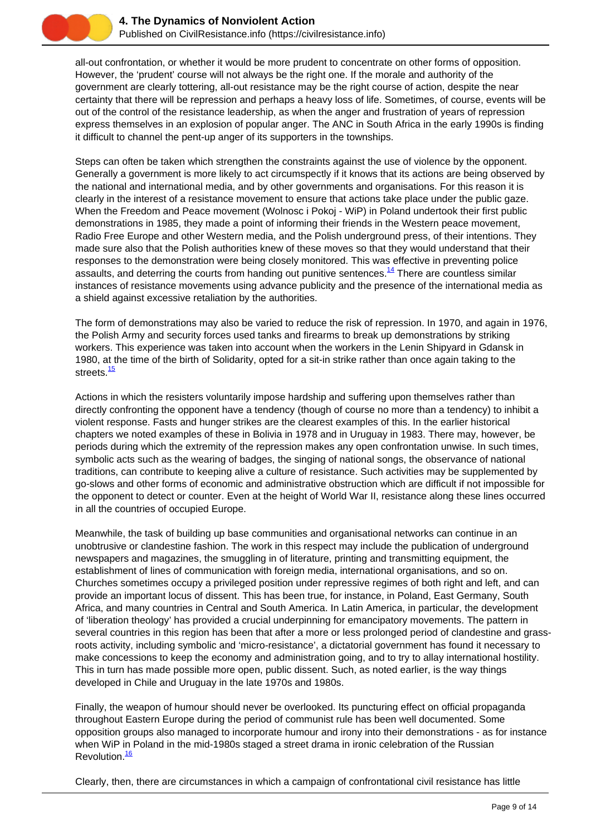

all-out confrontation, or whether it would be more prudent to concentrate on other forms of opposition. However, the 'prudent' course will not always be the right one. If the morale and authority of the government are clearly tottering, all-out resistance may be the right course of action, despite the near certainty that there will be repression and perhaps a heavy loss of life. Sometimes, of course, events will be out of the control of the resistance leadership, as when the anger and frustration of years of repression express themselves in an explosion of popular anger. The ANC in South Africa in the early 1990s is finding it difficult to channel the pent-up anger of its supporters in the townships.

Steps can often be taken which strengthen the constraints against the use of violence by the opponent. Generally a government is more likely to act circumspectly if it knows that its actions are being observed by the national and international media, and by other governments and organisations. For this reason it is clearly in the interest of a resistance movement to ensure that actions take place under the public gaze. When the Freedom and Peace movement (Wolnosc i Pokoj - WiP) in Poland undertook their first public demonstrations in 1985, they made a point of informing their friends in the Western peace movement, Radio Free Europe and other Western media, and the Polish underground press, of their intentions. They made sure also that the Polish authorities knew of these moves so that they would understand that their responses to the demonstration were being closely monitored. This was effective in preventing police assaults, and deterring the courts from handing out punitive sentences.<sup>[14](https://civilresistance.info/randle1994/Ch-4#ftn.id14)</sup> There are countless similar instances of resistance movements using advance publicity and the presence of the international media as a shield against excessive retaliation by the authorities.

The form of demonstrations may also be varied to reduce the risk of repression. In 1970, and again in 1976, the Polish Army and security forces used tanks and firearms to break up demonstrations by striking workers. This experience was taken into account when the workers in the Lenin Shipyard in Gdansk in 1980, at the time of the birth of Solidarity, opted for a sit-in strike rather than once again taking to the streets.<sup>[15](https://civilresistance.info/randle1994/Ch-4#ftn.id15)</sup>

Actions in which the resisters voluntarily impose hardship and suffering upon themselves rather than directly confronting the opponent have a tendency (though of course no more than a tendency) to inhibit a violent response. Fasts and hunger strikes are the clearest examples of this. In the earlier historical chapters we noted examples of these in Bolivia in 1978 and in Uruguay in 1983. There may, however, be periods during which the extremity of the repression makes any open confrontation unwise. In such times, symbolic acts such as the wearing of badges, the singing of national songs, the observance of national traditions, can contribute to keeping alive a culture of resistance. Such activities may be supplemented by go-slows and other forms of economic and administrative obstruction which are difficult if not impossible for the opponent to detect or counter. Even at the height of World War II, resistance along these lines occurred in all the countries of occupied Europe.

Meanwhile, the task of building up base communities and organisational networks can continue in an unobtrusive or clandestine fashion. The work in this respect may include the publication of underground newspapers and magazines, the smuggling in of literature, printing and transmitting equipment, the establishment of lines of communication with foreign media, international organisations, and so on. Churches sometimes occupy a privileged position under repressive regimes of both right and left, and can provide an important locus of dissent. This has been true, for instance, in Poland, East Germany, South Africa, and many countries in Central and South America. In Latin America, in particular, the development of 'liberation theology' has provided a crucial underpinning for emancipatory movements. The pattern in several countries in this region has been that after a more or less prolonged period of clandestine and grassroots activity, including symbolic and 'micro-resistance', a dictatorial government has found it necessary to make concessions to keep the economy and administration going, and to try to allay international hostility. This in turn has made possible more open, public dissent. Such, as noted earlier, is the way things developed in Chile and Uruguay in the late 1970s and 1980s.

Finally, the weapon of humour should never be overlooked. Its puncturing effect on official propaganda throughout Eastern Europe during the period of communist rule has been well documented. Some opposition groups also managed to incorporate humour and irony into their demonstrations - as for instance when WiP in Poland in the mid-1980s staged a street drama in ironic celebration of the Russian Revolution.<sup>[16](https://civilresistance.info/randle1994/Ch-4#ftn.id16)</sup>

Clearly, then, there are circumstances in which a campaign of confrontational civil resistance has little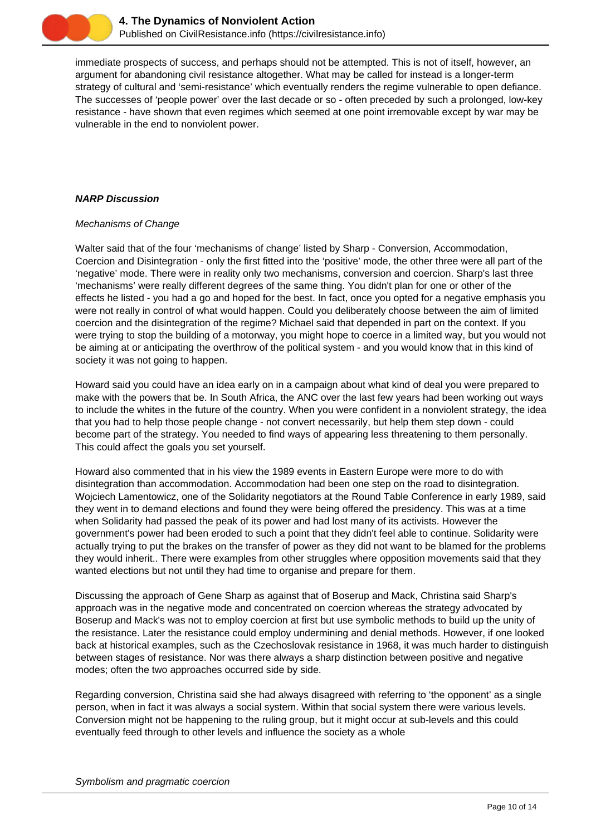

immediate prospects of success, and perhaps should not be attempted. This is not of itself, however, an argument for abandoning civil resistance altogether. What may be called for instead is a longer-term strategy of cultural and 'semi-resistance' which eventually renders the regime vulnerable to open defiance. The successes of 'people power' over the last decade or so - often preceded by such a prolonged, low-key resistance - have shown that even regimes which seemed at one point irremovable except by war may be vulnerable in the end to nonviolent power.

#### **NARP Discussion**

#### Mechanisms of Change

Walter said that of the four 'mechanisms of change' listed by Sharp - Conversion, Accommodation, Coercion and Disintegration - only the first fitted into the 'positive' mode, the other three were all part of the 'negative' mode. There were in reality only two mechanisms, conversion and coercion. Sharp's last three 'mechanisms' were really different degrees of the same thing. You didn't plan for one or other of the effects he listed - you had a go and hoped for the best. In fact, once you opted for a negative emphasis you were not really in control of what would happen. Could you deliberately choose between the aim of limited coercion and the disintegration of the regime? Michael said that depended in part on the context. If you were trying to stop the building of a motorway, you might hope to coerce in a limited way, but you would not be aiming at or anticipating the overthrow of the political system - and you would know that in this kind of society it was not going to happen.

Howard said you could have an idea early on in a campaign about what kind of deal you were prepared to make with the powers that be. In South Africa, the ANC over the last few years had been working out ways to include the whites in the future of the country. When you were confident in a nonviolent strategy, the idea that you had to help those people change - not convert necessarily, but help them step down - could become part of the strategy. You needed to find ways of appearing less threatening to them personally. This could affect the goals you set yourself.

Howard also commented that in his view the 1989 events in Eastern Europe were more to do with disintegration than accommodation. Accommodation had been one step on the road to disintegration. Wojciech Lamentowicz, one of the Solidarity negotiators at the Round Table Conference in early 1989, said they went in to demand elections and found they were being offered the presidency. This was at a time when Solidarity had passed the peak of its power and had lost many of its activists. However the government's power had been eroded to such a point that they didn't feel able to continue. Solidarity were actually trying to put the brakes on the transfer of power as they did not want to be blamed for the problems they would inherit.. There were examples from other struggles where opposition movements said that they wanted elections but not until they had time to organise and prepare for them.

Discussing the approach of Gene Sharp as against that of Boserup and Mack, Christina said Sharp's approach was in the negative mode and concentrated on coercion whereas the strategy advocated by Boserup and Mack's was not to employ coercion at first but use symbolic methods to build up the unity of the resistance. Later the resistance could employ undermining and denial methods. However, if one looked back at historical examples, such as the Czechoslovak resistance in 1968, it was much harder to distinguish between stages of resistance. Nor was there always a sharp distinction between positive and negative modes; often the two approaches occurred side by side.

Regarding conversion, Christina said she had always disagreed with referring to 'the opponent' as a single person, when in fact it was always a social system. Within that social system there were various levels. Conversion might not be happening to the ruling group, but it might occur at sub-levels and this could eventually feed through to other levels and influence the society as a whole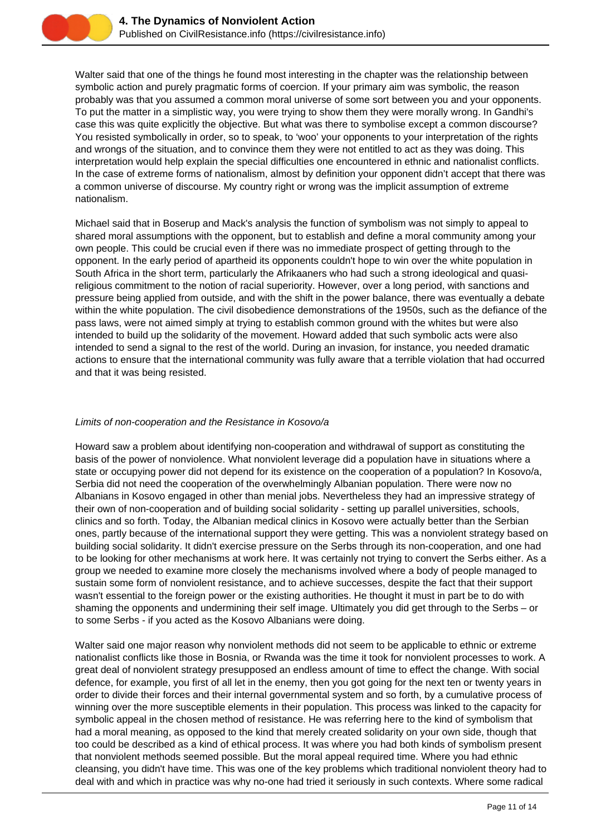

Walter said that one of the things he found most interesting in the chapter was the relationship between symbolic action and purely pragmatic forms of coercion. If your primary aim was symbolic, the reason probably was that you assumed a common moral universe of some sort between you and your opponents. To put the matter in a simplistic way, you were trying to show them they were morally wrong. In Gandhi's case this was quite explicitly the objective. But what was there to symbolise except a common discourse? You resisted symbolically in order, so to speak, to 'woo' your opponents to your interpretation of the rights and wrongs of the situation, and to convince them they were not entitled to act as they was doing. This interpretation would help explain the special difficulties one encountered in ethnic and nationalist conflicts. In the case of extreme forms of nationalism, almost by definition your opponent didn't accept that there was a common universe of discourse. My country right or wrong was the implicit assumption of extreme nationalism.

Michael said that in Boserup and Mack's analysis the function of symbolism was not simply to appeal to shared moral assumptions with the opponent, but to establish and define a moral community among your own people. This could be crucial even if there was no immediate prospect of getting through to the opponent. In the early period of apartheid its opponents couldn't hope to win over the white population in South Africa in the short term, particularly the Afrikaaners who had such a strong ideological and quasireligious commitment to the notion of racial superiority. However, over a long period, with sanctions and pressure being applied from outside, and with the shift in the power balance, there was eventually a debate within the white population. The civil disobedience demonstrations of the 1950s, such as the defiance of the pass laws, were not aimed simply at trying to establish common ground with the whites but were also intended to build up the solidarity of the movement. Howard added that such symbolic acts were also intended to send a signal to the rest of the world. During an invasion, for instance, you needed dramatic actions to ensure that the international community was fully aware that a terrible violation that had occurred and that it was being resisted.

## Limits of non-cooperation and the Resistance in Kosovo/a

Howard saw a problem about identifying non-cooperation and withdrawal of support as constituting the basis of the power of nonviolence. What nonviolent leverage did a population have in situations where a state or occupying power did not depend for its existence on the cooperation of a population? In Kosovo/a, Serbia did not need the cooperation of the overwhelmingly Albanian population. There were now no Albanians in Kosovo engaged in other than menial jobs. Nevertheless they had an impressive strategy of their own of non-cooperation and of building social solidarity - setting up parallel universities, schools, clinics and so forth. Today, the Albanian medical clinics in Kosovo were actually better than the Serbian ones, partly because of the international support they were getting. This was a nonviolent strategy based on building social solidarity. It didn't exercise pressure on the Serbs through its non-cooperation, and one had to be looking for other mechanisms at work here. It was certainly not trying to convert the Serbs either. As a group we needed to examine more closely the mechanisms involved where a body of people managed to sustain some form of nonviolent resistance, and to achieve successes, despite the fact that their support wasn't essential to the foreign power or the existing authorities. He thought it must in part be to do with shaming the opponents and undermining their self image. Ultimately you did get through to the Serbs – or to some Serbs - if you acted as the Kosovo Albanians were doing.

Walter said one major reason why nonviolent methods did not seem to be applicable to ethnic or extreme nationalist conflicts like those in Bosnia, or Rwanda was the time it took for nonviolent processes to work. A great deal of nonviolent strategy presupposed an endless amount of time to effect the change. With social defence, for example, you first of all let in the enemy, then you got going for the next ten or twenty years in order to divide their forces and their internal governmental system and so forth, by a cumulative process of winning over the more susceptible elements in their population. This process was linked to the capacity for symbolic appeal in the chosen method of resistance. He was referring here to the kind of symbolism that had a moral meaning, as opposed to the kind that merely created solidarity on your own side, though that too could be described as a kind of ethical process. It was where you had both kinds of symbolism present that nonviolent methods seemed possible. But the moral appeal required time. Where you had ethnic cleansing, you didn't have time. This was one of the key problems which traditional nonviolent theory had to deal with and which in practice was why no-one had tried it seriously in such contexts. Where some radical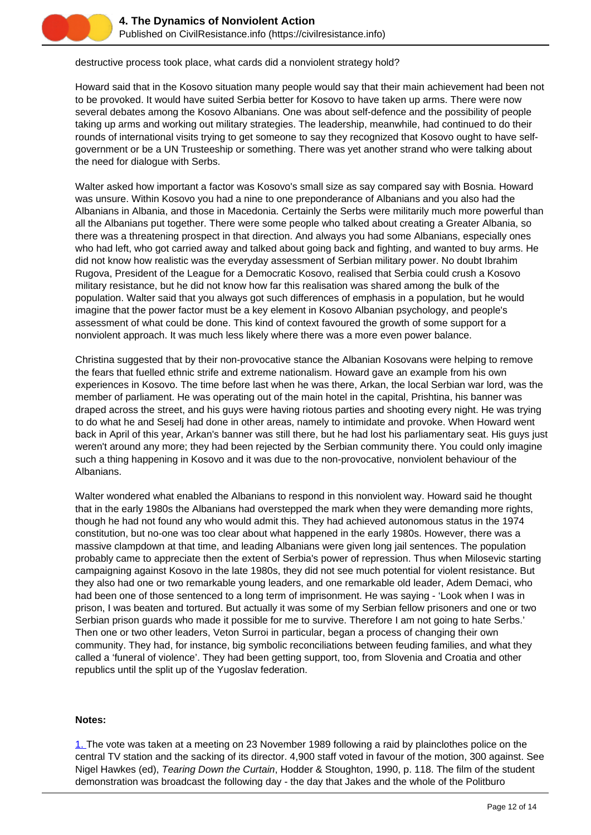

#### destructive process took place, what cards did a nonviolent strategy hold?

Howard said that in the Kosovo situation many people would say that their main achievement had been not to be provoked. It would have suited Serbia better for Kosovo to have taken up arms. There were now several debates among the Kosovo Albanians. One was about self-defence and the possibility of people taking up arms and working out military strategies. The leadership, meanwhile, had continued to do their rounds of international visits trying to get someone to say they recognized that Kosovo ought to have selfgovernment or be a UN Trusteeship or something. There was yet another strand who were talking about the need for dialogue with Serbs.

Walter asked how important a factor was Kosovo's small size as say compared say with Bosnia. Howard was unsure. Within Kosovo you had a nine to one preponderance of Albanians and you also had the Albanians in Albania, and those in Macedonia. Certainly the Serbs were militarily much more powerful than all the Albanians put together. There were some people who talked about creating a Greater Albania, so there was a threatening prospect in that direction. And always you had some Albanians, especially ones who had left, who got carried away and talked about going back and fighting, and wanted to buy arms. He did not know how realistic was the everyday assessment of Serbian military power. No doubt Ibrahim Rugova, President of the League for a Democratic Kosovo, realised that Serbia could crush a Kosovo military resistance, but he did not know how far this realisation was shared among the bulk of the population. Walter said that you always got such differences of emphasis in a population, but he would imagine that the power factor must be a key element in Kosovo Albanian psychology, and people's assessment of what could be done. This kind of context favoured the growth of some support for a nonviolent approach. It was much less likely where there was a more even power balance.

Christina suggested that by their non-provocative stance the Albanian Kosovans were helping to remove the fears that fuelled ethnic strife and extreme nationalism. Howard gave an example from his own experiences in Kosovo. The time before last when he was there, Arkan, the local Serbian war lord, was the member of parliament. He was operating out of the main hotel in the capital, Prishtina, his banner was draped across the street, and his guys were having riotous parties and shooting every night. He was trying to do what he and Seselj had done in other areas, namely to intimidate and provoke. When Howard went back in April of this year, Arkan's banner was still there, but he had lost his parliamentary seat. His guys just weren't around any more; they had been rejected by the Serbian community there. You could only imagine such a thing happening in Kosovo and it was due to the non-provocative, nonviolent behaviour of the Albanians.

Walter wondered what enabled the Albanians to respond in this nonviolent way. Howard said he thought that in the early 1980s the Albanians had overstepped the mark when they were demanding more rights, though he had not found any who would admit this. They had achieved autonomous status in the 1974 constitution, but no-one was too clear about what happened in the early 1980s. However, there was a massive clampdown at that time, and leading Albanians were given long jail sentences. The population probably came to appreciate then the extent of Serbia's power of repression. Thus when Milosevic starting campaigning against Kosovo in the late 1980s, they did not see much potential for violent resistance. But they also had one or two remarkable young leaders, and one remarkable old leader, Adem Demaci, who had been one of those sentenced to a long term of imprisonment. He was saying - 'Look when I was in prison, I was beaten and tortured. But actually it was some of my Serbian fellow prisoners and one or two Serbian prison guards who made it possible for me to survive. Therefore I am not going to hate Serbs.' Then one or two other leaders, Veton Surroi in particular, began a process of changing their own community. They had, for instance, big symbolic reconciliations between feuding families, and what they called a 'funeral of violence'. They had been getting support, too, from Slovenia and Croatia and other republics until the split up of the Yugoslav federation.

## **Notes:**

[1. T](https://civilresistance.info/randle1994/Ch-4#id1)he vote was taken at a meeting on 23 November 1989 following a raid by plainclothes police on the central TV station and the sacking of its director. 4,900 staff voted in favour of the motion, 300 against. See Nigel Hawkes (ed), Tearing Down the Curtain, Hodder & Stoughton, 1990, p. 118. The film of the student demonstration was broadcast the following day - the day that Jakes and the whole of the Politburo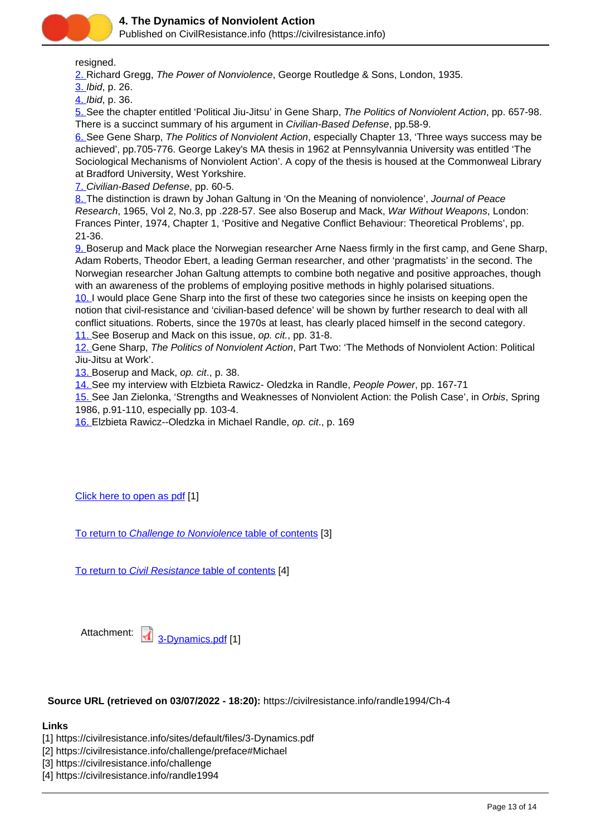

resigned.

[2. R](https://civilresistance.info/randle1994/Ch-4#id2)ichard Gregg, The Power of Nonviolence, George Routledge & Sons, London, 1935.

[3.](https://civilresistance.info/randle1994/Ch-4#id3) Ibid, p. 26.

[4.](https://civilresistance.info/randle1994/Ch-4#id4) Ibid, p. 36.

[5. S](https://civilresistance.info/randle1994/Ch-4#id5)ee the chapter entitled 'Political Jiu-Jitsu' in Gene Sharp, The Politics of Nonviolent Action, pp. 657-98. There is a succinct summary of his argument in Civilian-Based Defense, pp.58-9.

[6. S](https://civilresistance.info/randle1994/Ch-4#id6)ee Gene Sharp, The Politics of Nonviolent Action, especially Chapter 13, 'Three ways success may be achieved', pp.705-776. George Lakey's MA thesis in 1962 at Pennsylvannia University was entitled 'The Sociological Mechanisms of Nonviolent Action'. A copy of the thesis is housed at the Commonweal Library at Bradford University, West Yorkshire.

[7.](https://civilresistance.info/randle1994/Ch-4#id7) Civilian-Based Defense, pp. 60-5.

[8. T](https://civilresistance.info/randle1994/Ch-4#id8)he distinction is drawn by Johan Galtung in 'On the Meaning of nonviolence', Journal of Peace Research, 1965, Vol 2, No.3, pp .228-57. See also Boserup and Mack, War Without Weapons, London: Frances Pinter, 1974, Chapter 1, 'Positive and Negative Conflict Behaviour: Theoretical Problems', pp. 21-36.

[9. B](https://civilresistance.info/randle1994/Ch-4#id9)oserup and Mack place the Norwegian researcher Arne Naess firmly in the first camp, and Gene Sharp, Adam Roberts, Theodor Ebert, a leading German researcher, and other 'pragmatists' in the second. The Norwegian researcher Johan Galtung attempts to combine both negative and positive approaches, though with an awareness of the problems of employing positive methods in highly polarised situations.

[10. I](https://civilresistance.info/randle1994/Ch-4#id10) would place Gene Sharp into the first of these two categories since he insists on keeping open the notion that civil-resistance and 'civilian-based defence' will be shown by further research to deal with all conflict situations. Roberts, since the 1970s at least, has clearly placed himself in the second category. [11. S](https://civilresistance.info/randle1994/Ch-4#id11)ee Boserup and Mack on this issue, op. cit., pp. 31-8.

[12. G](https://civilresistance.info/randle1994/Ch-4#id12)ene Sharp, The Politics of Nonviolent Action, Part Two: 'The Methods of Nonviolent Action: Political Jiu-Jitsu at Work'.

[13. B](https://civilresistance.info/randle1994/Ch-4#id13)oserup and Mack, op. cit., p. 38.

[14. S](https://civilresistance.info/randle1994/Ch-4#id14)ee my interview with Elzbieta Rawicz- Oledzka in Randle, People Power, pp. 167-71

[15. S](https://civilresistance.info/randle1994/Ch-4#id15)ee Jan Zielonka, 'Strengths and Weaknesses of Nonviolent Action: the Polish Case', in Orbis, Spring 1986, p.91-110, especially pp. 103-4.

[16. E](https://civilresistance.info/randle1994/Ch-4#id16)lzbieta Rawicz--Oledzka in Michael Randle, op. cit., p. 169

[Click here to open as pdf](https://civilresistance.info/sites/default/files/3-Dynamics.pdf) [1]

[To return to](https://civilresistance.info/challenge) [Challenge to Nonviolence](https://civilresistance.info/challenge) [table of contents](https://civilresistance.info/challenge) [3]

[To return to](https://civilresistance.info/randle1994) [Civil Resistance](https://civilresistance.info/randle1994) [table of contents](https://civilresistance.info/randle1994) [4]

Attachment: [3-Dynamics.pdf](https://civilresistance.info/sites/default/files/3-Dynamics.pdf) [1]

**Source URL (retrieved on 03/07/2022 - 18:20):** https://civilresistance.info/randle1994/Ch-4

#### **Links**

[1] https://civilresistance.info/sites/default/files/3-Dynamics.pdf

[2] https://civilresistance.info/challenge/preface#Michael

- [3] https://civilresistance.info/challenge
- [4] https://civilresistance.info/randle1994